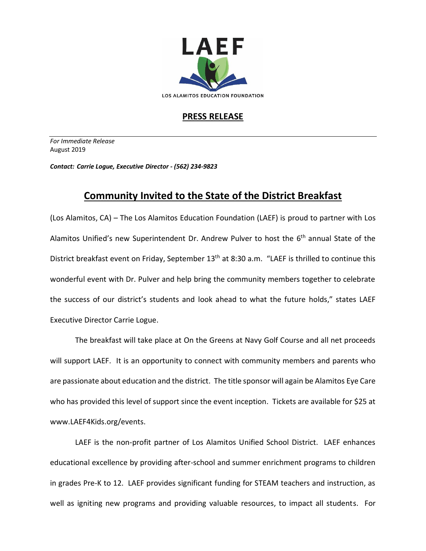

## **PRESS RELEASE**

*For Immediate Release*  August 2019

*Contact: Carrie Logue, Executive Director - (562) 234-9823*

## **Community Invited to the State of the District Breakfast**

(Los Alamitos, CA) – The Los Alamitos Education Foundation (LAEF) is proud to partner with Los Alamitos Unified's new Superintendent Dr. Andrew Pulver to host the 6<sup>th</sup> annual State of the District breakfast event on Friday, September 13<sup>th</sup> at 8:30 a.m. "LAEF is thrilled to continue this wonderful event with Dr. Pulver and help bring the community members together to celebrate the success of our district's students and look ahead to what the future holds," states LAEF Executive Director Carrie Logue.

The breakfast will take place at On the Greens at Navy Golf Course and all net proceeds will support LAEF. It is an opportunity to connect with community members and parents who are passionate about education and the district. The title sponsor will again be Alamitos Eye Care who has provided this level of support since the event inception. Tickets are available for \$25 at www.LAEF4Kids.org/events.

LAEF is the non-profit partner of Los Alamitos Unified School District. LAEF enhances educational excellence by providing after-school and summer enrichment programs to children in grades Pre-K to 12. LAEF provides significant funding for STEAM teachers and instruction, as well as igniting new programs and providing valuable resources, to impact all students. For